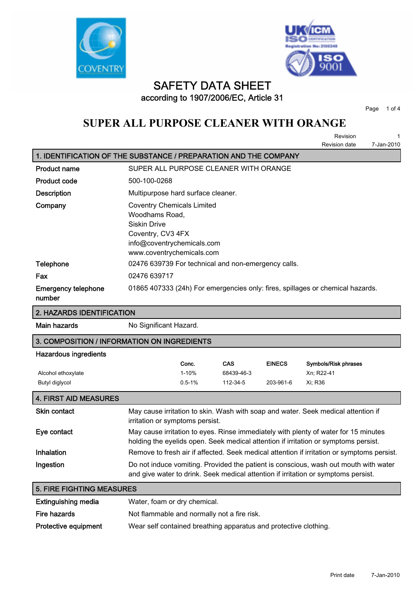



### **SAFETY DATA SHEET according to 1907/2006/EC, Article 31**

**Page 1 of 4**

# **SUPER ALL PURPOSE CLEANER WITH ORANGE**

**Revision 1 Revision date 7-Jan-2010**

| 1. IDENTIFICATION OF THE SUBSTANCE / PREPARATION AND THE COMPANY |                                                                                                                                                     |  |  |
|------------------------------------------------------------------|-----------------------------------------------------------------------------------------------------------------------------------------------------|--|--|
| <b>Product name</b>                                              | SUPER ALL PURPOSE CLEANER WITH ORANGE                                                                                                               |  |  |
| <b>Product code</b>                                              | 500-100-0268                                                                                                                                        |  |  |
| <b>Description</b>                                               | Multipurpose hard surface cleaner.                                                                                                                  |  |  |
| Company                                                          | <b>Coventry Chemicals Limited</b><br>Woodhams Road,<br>Siskin Drive<br>Coventry, CV3 4FX<br>info@coventrychemicals.com<br>www.coventrychemicals.com |  |  |
| Telephone                                                        | 02476 639739 For technical and non-emergency calls.                                                                                                 |  |  |
| Fax                                                              | 02476 639717                                                                                                                                        |  |  |
| <b>Emergency telephone</b><br>number                             | 01865 407333 (24h) For emergencies only: fires, spillages or chemical hazards.                                                                      |  |  |

#### **2. HAZARDS IDENTIFICATION**

**Main hazards No Significant Hazard.** 

#### **3. COMPOSITION / INFORMATION ON INGREDIENTS**

#### **Hazardous ingredients**

|                    | Conc.      | CAS        | <b>EINECS</b> | Symbols/Risk phrases |
|--------------------|------------|------------|---------------|----------------------|
| Alcohol ethoxylate | 1-10%      | 68439-46-3 |               | Xn: R22-41           |
| Butyl diglycol     | $0.5 - 1%$ | 112-34-5   | 203-961-6     | Xi: R36              |

| <b>4. FIRST AID MEASURES</b> |                                                                                                                                                                            |
|------------------------------|----------------------------------------------------------------------------------------------------------------------------------------------------------------------------|
| <b>Skin contact</b>          | May cause irritation to skin. Wash with soap and water. Seek medical attention if<br>irritation or symptoms persist.                                                       |
| Eye contact                  | May cause irritation to eyes. Rinse immediately with plenty of water for 15 minutes<br>holding the eyelids open. Seek medical attention if irritation or symptoms persist. |
| <b>Inhalation</b>            | Remove to fresh air if affected. Seek medical attention if irritation or symptoms persist.                                                                                 |
| Ingestion                    | Do not induce vomiting. Provided the patient is conscious, wash out mouth with water<br>and give water to drink. Seek medical attention if irritation or symptoms persist. |

| <b>5. FIRE FIGHTING MEASURES</b> |                                                                  |  |
|----------------------------------|------------------------------------------------------------------|--|
| <b>Extinguishing media</b>       | Water, foam or dry chemical.                                     |  |
| Fire hazards                     | Not flammable and normally not a fire risk.                      |  |
| <b>Protective equipment</b>      | Wear self contained breathing apparatus and protective clothing. |  |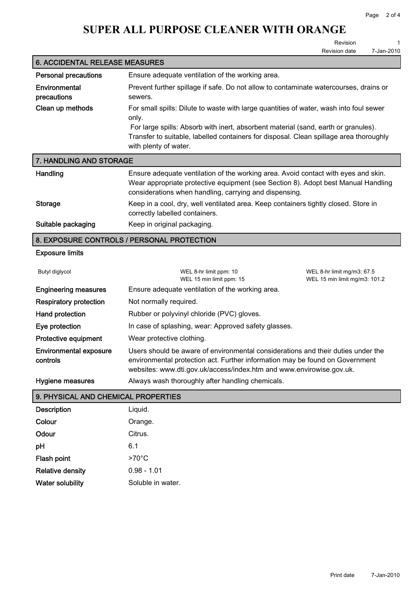### **SUPER ALL PURPOSE CLEANER WITH ORANGE**

**Revision 1 Revision date** 

| <b>6. ACCIDENTAL RELEASE MEASURES</b> |                                                                                                                                                                                                                                                                                                          |  |  |
|---------------------------------------|----------------------------------------------------------------------------------------------------------------------------------------------------------------------------------------------------------------------------------------------------------------------------------------------------------|--|--|
| <b>Personal precautions</b>           | Ensure adequate ventilation of the working area.                                                                                                                                                                                                                                                         |  |  |
| Environmental<br>precautions          | Prevent further spillage if safe. Do not allow to contaminate watercourses, drains or<br>sewers.                                                                                                                                                                                                         |  |  |
| Clean up methods                      | For small spills: Dilute to waste with large quantities of water, wash into foul sewer<br>only.<br>For large spills: Absorb with inert, absorbent material (sand, earth or granules).<br>Transfer to suitable, labelled containers for disposal. Clean spillage area thoroughly<br>with plenty of water. |  |  |
|                                       |                                                                                                                                                                                                                                                                                                          |  |  |

| 7. HANDLING AND STORAGE |                                                                                                                                                                                                                                   |  |  |
|-------------------------|-----------------------------------------------------------------------------------------------------------------------------------------------------------------------------------------------------------------------------------|--|--|
| Handling                | Ensure adequate ventilation of the working area. Avoid contact with eyes and skin.<br>Wear appropriate protective equipment (see Section 8). Adopt best Manual Handling<br>considerations when handling, carrying and dispensing. |  |  |
| Storage                 | Keep in a cool, dry, well ventilated area. Keep containers tightly closed. Store in<br>correctly labelled containers.                                                                                                             |  |  |
| Suitable packaging      | Keep in original packaging.                                                                                                                                                                                                       |  |  |

#### **8. EXPOSURE CONTROLS / PERSONAL PROTECTION**

#### **Exposure limits**

| Butyl diglycol                            | WEL 8-hr limit ppm: 10<br>WEL 15 min limit ppm: 15                                                                                                                                                                                       | WEL 8-hr limit mg/m3: 67.5<br>WEL 15 min limit mg/m3: 101.2 |
|-------------------------------------------|------------------------------------------------------------------------------------------------------------------------------------------------------------------------------------------------------------------------------------------|-------------------------------------------------------------|
| <b>Engineering measures</b>               | Ensure adequate ventilation of the working area.                                                                                                                                                                                         |                                                             |
| <b>Respiratory protection</b>             | Not normally required.                                                                                                                                                                                                                   |                                                             |
| Hand protection                           | Rubber or polyvinyl chloride (PVC) gloves.                                                                                                                                                                                               |                                                             |
| Eye protection                            | In case of splashing, wear: Approved safety glasses.                                                                                                                                                                                     |                                                             |
| Protective equipment                      | Wear protective clothing.                                                                                                                                                                                                                |                                                             |
| <b>Environmental exposure</b><br>controls | Users should be aware of environmental considerations and their duties under the<br>environmental protection act. Further information may be found on Government<br>websites: www.dti.gov.uk/access/index.htm and www.envirowise.gov.uk. |                                                             |
| <b>Hygiene measures</b>                   | Always wash thoroughly after handling chemicals.                                                                                                                                                                                         |                                                             |

### **9. PHYSICAL AND CHEMICAL PROPERTIES**

| <b>Description</b>      | Liquid.           |
|-------------------------|-------------------|
| Colour                  | Orange.           |
| Odour                   | Citrus.           |
| рH                      | 6.1               |
| <b>Flash point</b>      | $>70^{\circ}$ C   |
| <b>Relative density</b> | $0.98 - 1.01$     |
| <b>Water solubility</b> | Soluble in water. |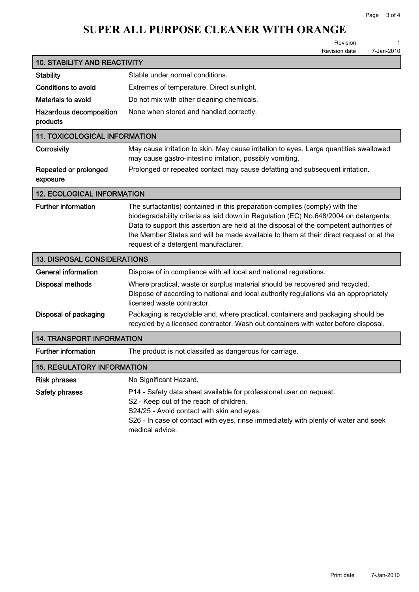# **SUPER ALL PURPOSE CLEANER WITH ORANGE**

**Revision 1**

| <b>Revision date</b> | 7-Jan-2010 |
|----------------------|------------|
|                      |            |

| <b>10. STABILITY AND REACTIVITY</b>  |                                                                                                                                                                                                                                                                                                                                                                                                 |  |  |
|--------------------------------------|-------------------------------------------------------------------------------------------------------------------------------------------------------------------------------------------------------------------------------------------------------------------------------------------------------------------------------------------------------------------------------------------------|--|--|
| <b>Stability</b>                     | Stable under normal conditions.                                                                                                                                                                                                                                                                                                                                                                 |  |  |
| Conditions to avoid                  | Extremes of temperature. Direct sunlight.                                                                                                                                                                                                                                                                                                                                                       |  |  |
| Materials to avoid                   | Do not mix with other cleaning chemicals.                                                                                                                                                                                                                                                                                                                                                       |  |  |
| Hazardous decomposition<br>products  | None when stored and handled correctly.                                                                                                                                                                                                                                                                                                                                                         |  |  |
| <b>11. TOXICOLOGICAL INFORMATION</b> |                                                                                                                                                                                                                                                                                                                                                                                                 |  |  |
| Corrosivity                          | May cause irritation to skin. May cause irritation to eyes. Large quantities swallowed<br>may cause gastro-intestino irritation, possibly vomiting.                                                                                                                                                                                                                                             |  |  |
| Repeated or prolonged<br>exposure    | Prolonged or repeated contact may cause defatting and subsequent irritation.                                                                                                                                                                                                                                                                                                                    |  |  |
| <b>12. ECOLOGICAL INFORMATION</b>    |                                                                                                                                                                                                                                                                                                                                                                                                 |  |  |
| <b>Further information</b>           | The surfactant(s) contained in this preparation complies (comply) with the<br>biodegradability criteria as laid down in Regulation (EC) No.648/2004 on detergents.<br>Data to support this assertion are held at the disposal of the competent authorities of<br>the Member States and will be made available to them at their direct request or at the<br>request of a detergent manufacturer. |  |  |
| <b>13. DISPOSAL CONSIDERATIONS</b>   |                                                                                                                                                                                                                                                                                                                                                                                                 |  |  |
| <b>General information</b>           | Dispose of in compliance with all local and national regulations.                                                                                                                                                                                                                                                                                                                               |  |  |
| <b>Disposal methods</b>              | Where practical, waste or surplus material should be recovered and recycled.<br>Dispose of according to national and local authority regulations via an appropriately<br>licensed waste contractor.                                                                                                                                                                                             |  |  |
| Disposal of packaging                | Packaging is recyclable and, where practical, containers and packaging should be<br>recycled by a licensed contractor. Wash out containers with water before disposal.                                                                                                                                                                                                                          |  |  |
| <b>14. TRANSPORT INFORMATION</b>     |                                                                                                                                                                                                                                                                                                                                                                                                 |  |  |
| <b>Further information</b>           | The product is not classifed as dangerous for carriage.                                                                                                                                                                                                                                                                                                                                         |  |  |
| <b>15. REGULATORY INFORMATION</b>    |                                                                                                                                                                                                                                                                                                                                                                                                 |  |  |
| <b>Risk phrases</b>                  | No Significant Hazard.                                                                                                                                                                                                                                                                                                                                                                          |  |  |
| Safety phrases                       | P14 - Safety data sheet available for professional user on request.<br>S2 - Keep out of the reach of children.<br>S24/25 - Avoid contact with skin and eyes.<br>S26 - In case of contact with eyes, rinse immediately with plenty of water and seek<br>medical advice.                                                                                                                          |  |  |